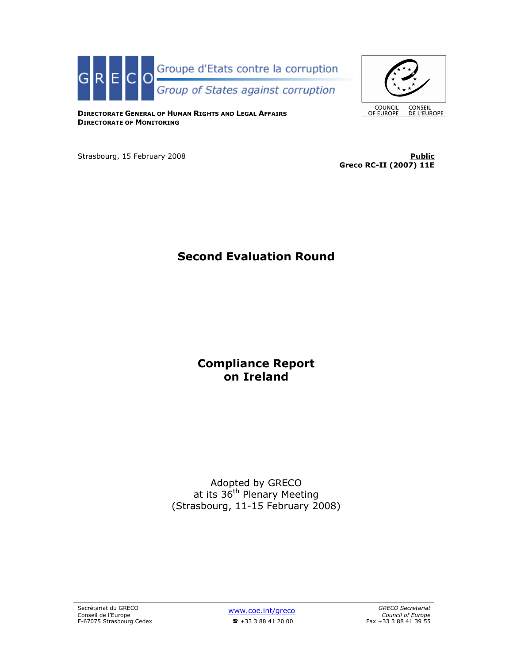



DIRECTORATE GENERAL OF HUMAN RIGHTS AND LEGAL AFFAIRS DIRECTORATE OF MONITORING

Strasbourg, 15 February 2008 **Public Public Public Public Public Public Public** 

Greco RC-II (2007) 11E

# Second Evaluation Round

## Compliance Report on Ireland

Adopted by GRECO at its 36<sup>th</sup> Plenary Meeting (Strasbourg, 11-15 February 2008)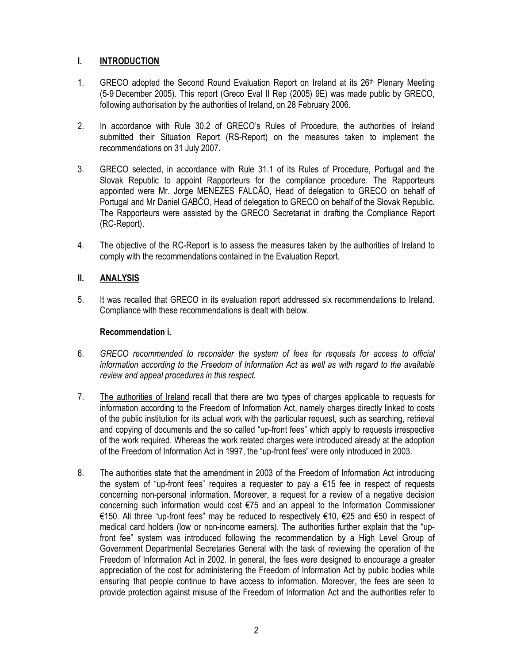## I. INTRODUCTION

- 1. GRECO adopted the Second Round Evaluation Report on Ireland at its 26<sup>th</sup> Plenary Meeting (5-9 December 2005). This report (Greco Eval II Rep (2005) 9E) was made public by GRECO, following authorisation by the authorities of Ireland, on 28 February 2006.
- 2. In accordance with Rule 30.2 of GRECO's Rules of Procedure, the authorities of Ireland submitted their Situation Report (RS-Report) on the measures taken to implement the recommendations on 31 July 2007.
- 3. GRECO selected, in accordance with Rule 31.1 of its Rules of Procedure, Portugal and the Slovak Republic to appoint Rapporteurs for the compliance procedure. The Rapporteurs appointed were Mr. Jorge MENEZES FALCÃO, Head of delegation to GRECO on behalf of Portugal and Mr Daniel GABČO, Head of delegation to GRECO on behalf of the Slovak Republic. The Rapporteurs were assisted by the GRECO Secretariat in drafting the Compliance Report (RC-Report).
- 4. The objective of the RC-Report is to assess the measures taken by the authorities of Ireland to comply with the recommendations contained in the Evaluation Report.

## II. ANALYSIS

5. It was recalled that GRECO in its evaluation report addressed six recommendations to Ireland. Compliance with these recommendations is dealt with below.

#### Recommendation i.

- 6. GRECO recommended to reconsider the system of fees for requests for access to official information according to the Freedom of Information Act as well as with regard to the available review and appeal procedures in this respect.
- 7. The authorities of Ireland recall that there are two types of charges applicable to requests for information according to the Freedom of Information Act, namely charges directly linked to costs of the public institution for its actual work with the particular request, such as searching, retrieval and copying of documents and the so called "up-front fees" which apply to requests irrespective of the work required. Whereas the work related charges were introduced already at the adoption of the Freedom of Information Act in 1997, the "up-front fees" were only introduced in 2003.
- 8. The authorities state that the amendment in 2003 of the Freedom of Information Act introducing the system of "up-front fees" requires a requester to pay a  $\epsilon$ 15 fee in respect of requests concerning non-personal information. Moreover, a request for a review of a negative decision concerning such information would cost €75 and an appeal to the Information Commissioner €150. All three "up-front fees" may be reduced to respectively €10, €25 and €50 in respect of medical card holders (low or non-income earners). The authorities further explain that the "upfront fee" system was introduced following the recommendation by a High Level Group of Government Departmental Secretaries General with the task of reviewing the operation of the Freedom of Information Act in 2002. In general, the fees were designed to encourage a greater appreciation of the cost for administering the Freedom of Information Act by public bodies while ensuring that people continue to have access to information. Moreover, the fees are seen to provide protection against misuse of the Freedom of Information Act and the authorities refer to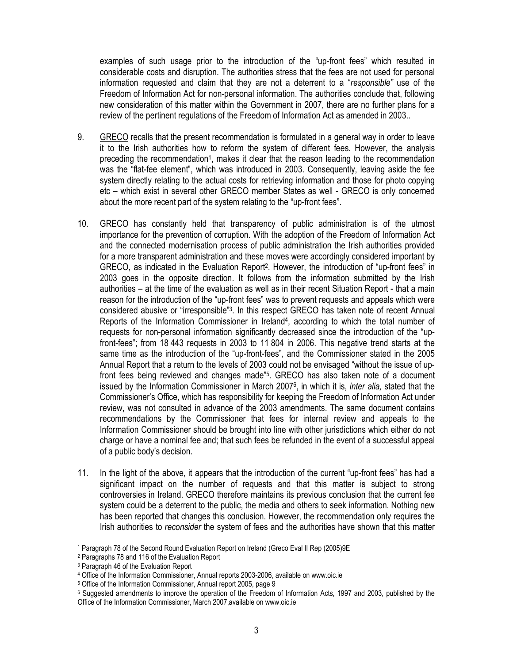examples of such usage prior to the introduction of the "up-front fees" which resulted in considerable costs and disruption. The authorities stress that the fees are not used for personal information requested and claim that they are not a deterrent to a "responsible" use of the Freedom of Information Act for non-personal information. The authorities conclude that, following new consideration of this matter within the Government in 2007, there are no further plans for a review of the pertinent regulations of the Freedom of Information Act as amended in 2003..

- 9. GRECO recalls that the present recommendation is formulated in a general way in order to leave it to the Irish authorities how to reform the system of different fees. However, the analysis preceding the recommendation<sup>1</sup>, makes it clear that the reason leading to the recommendation was the "flat-fee element", which was introduced in 2003. Consequently, leaving aside the fee system directly relating to the actual costs for retrieving information and those for photo copying etc – which exist in several other GRECO member States as well - GRECO is only concerned about the more recent part of the system relating to the "up-front fees".
- 10. GRECO has constantly held that transparency of public administration is of the utmost importance for the prevention of corruption. With the adoption of the Freedom of Information Act and the connected modernisation process of public administration the Irish authorities provided for a more transparent administration and these moves were accordingly considered important by GRECO, as indicated in the Evaluation Report<sup>2</sup>. However, the introduction of "up-front fees" in 2003 goes in the opposite direction. It follows from the information submitted by the Irish authorities – at the time of the evaluation as well as in their recent Situation Report - that a main reason for the introduction of the "up-front fees" was to prevent requests and appeals which were considered abusive or "irresponsible"<sup>3</sup> . In this respect GRECO has taken note of recent Annual Reports of the Information Commissioner in Ireland<sup>4</sup>, according to which the total number of requests for non-personal information significantly decreased since the introduction of the "upfront-fees"; from 18 443 requests in 2003 to 11 804 in 2006. This negative trend starts at the same time as the introduction of the "up-front-fees", and the Commissioner stated in the 2005 Annual Report that a return to the levels of 2003 could not be envisaged "without the issue of upfront fees being reviewed and changes made"<sup>5</sup>. GRECO has also taken note of a document issued by the Information Commissioner in March 2007<sup>6</sup>, in which it is, *inter alia,* stated that the Commissioner's Office, which has responsibility for keeping the Freedom of Information Act under review, was not consulted in advance of the 2003 amendments. The same document contains recommendations by the Commissioner that fees for internal review and appeals to the Information Commissioner should be brought into line with other jurisdictions which either do not charge or have a nominal fee and; that such fees be refunded in the event of a successful appeal of a public body's decision.
- 11. In the light of the above, it appears that the introduction of the current "up-front fees" has had a significant impact on the number of requests and that this matter is subject to strong controversies in Ireland. GRECO therefore maintains its previous conclusion that the current fee system could be a deterrent to the public, the media and others to seek information. Nothing new has been reported that changes this conclusion. However, the recommendation only requires the Irish authorities to reconsider the system of fees and the authorities have shown that this matter l

<sup>&</sup>lt;sup>1</sup> Paragraph 78 of the Second Round Evaluation Report on Ireland (Greco Eval II Rep (2005)9E

<sup>2</sup> Paragraphs 78 and 116 of the Evaluation Report

<sup>3</sup> Paragraph 46 of the Evaluation Report

<sup>4</sup> Office of the Information Commissioner, Annual reports 2003-2006, available on www.oic.ie

<sup>5</sup> Office of the Information Commissioner, Annual report 2005, page 9

<sup>6</sup> Suggested amendments to improve the operation of the Freedom of Information Acts, 1997 and 2003, published by the Office of the Information Commissioner, March 2007,available on www.oic.ie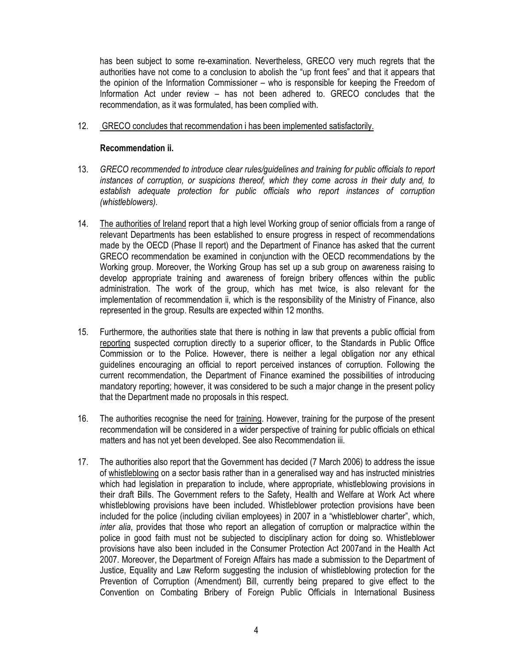has been subject to some re-examination. Nevertheless, GRECO very much regrets that the authorities have not come to a conclusion to abolish the "up front fees" and that it appears that the opinion of the Information Commissioner – who is responsible for keeping the Freedom of Information Act under review – has not been adhered to. GRECO concludes that the recommendation, as it was formulated, has been complied with.

12. GRECO concludes that recommendation i has been implemented satisfactorily.

## Recommendation ii.

- 13. GRECO recommended to introduce clear rules/guidelines and training for public officials to report instances of corruption, or suspicions thereof, which they come across in their duty and, to establish adequate protection for public officials who report instances of corruption (whistleblowers).
- 14. The authorities of Ireland report that a high level Working group of senior officials from a range of relevant Departments has been established to ensure progress in respect of recommendations made by the OECD (Phase II report) and the Department of Finance has asked that the current GRECO recommendation be examined in conjunction with the OECD recommendations by the Working group. Moreover, the Working Group has set up a sub group on awareness raising to develop appropriate training and awareness of foreign bribery offences within the public administration. The work of the group, which has met twice, is also relevant for the implementation of recommendation ii, which is the responsibility of the Ministry of Finance, also represented in the group. Results are expected within 12 months.
- 15. Furthermore, the authorities state that there is nothing in law that prevents a public official from reporting suspected corruption directly to a superior officer, to the Standards in Public Office Commission or to the Police. However, there is neither a legal obligation nor any ethical guidelines encouraging an official to report perceived instances of corruption. Following the current recommendation, the Department of Finance examined the possibilities of introducing mandatory reporting; however, it was considered to be such a major change in the present policy that the Department made no proposals in this respect.
- 16. The authorities recognise the need for training. However, training for the purpose of the present recommendation will be considered in a wider perspective of training for public officials on ethical matters and has not yet been developed. See also Recommendation iii.
- 17. The authorities also report that the Government has decided (7 March 2006) to address the issue of whistleblowing on a sector basis rather than in a generalised way and has instructed ministries which had legislation in preparation to include, where appropriate, whistleblowing provisions in their draft Bills. The Government refers to the Safety, Health and Welfare at Work Act where whistleblowing provisions have been included. Whistleblower protection provisions have been included for the police (including civilian employees) in 2007 in a "whistleblower charter", which, inter alia, provides that those who report an allegation of corruption or malpractice within the police in good faith must not be subjected to disciplinary action for doing so. Whistleblower provisions have also been included in the Consumer Protection Act 2007and in the Health Act 2007. Moreover, the Department of Foreign Affairs has made a submission to the Department of Justice, Equality and Law Reform suggesting the inclusion of whistleblowing protection for the Prevention of Corruption (Amendment) Bill, currently being prepared to give effect to the Convention on Combating Bribery of Foreign Public Officials in International Business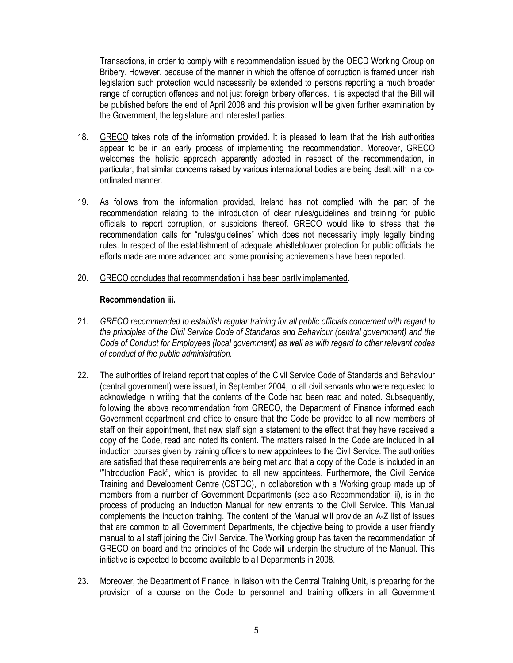Transactions, in order to comply with a recommendation issued by the OECD Working Group on Bribery. However, because of the manner in which the offence of corruption is framed under Irish legislation such protection would necessarily be extended to persons reporting a much broader range of corruption offences and not just foreign bribery offences. It is expected that the Bill will be published before the end of April 2008 and this provision will be given further examination by the Government, the legislature and interested parties.

- 18. GRECO takes note of the information provided. It is pleased to learn that the Irish authorities appear to be in an early process of implementing the recommendation. Moreover, GRECO welcomes the holistic approach apparently adopted in respect of the recommendation, in particular, that similar concerns raised by various international bodies are being dealt with in a coordinated manner.
- 19. As follows from the information provided, Ireland has not complied with the part of the recommendation relating to the introduction of clear rules/guidelines and training for public officials to report corruption, or suspicions thereof. GRECO would like to stress that the recommendation calls for "rules/guidelines" which does not necessarily imply legally binding rules. In respect of the establishment of adequate whistleblower protection for public officials the efforts made are more advanced and some promising achievements have been reported.
- 20. GRECO concludes that recommendation ii has been partly implemented.

#### Recommendation iii.

- 21. GRECO recommended to establish regular training for all public officials concerned with regard to the principles of the Civil Service Code of Standards and Behaviour (central government) and the Code of Conduct for Employees (local government) as well as with regard to other relevant codes of conduct of the public administration.
- 22. The authorities of Ireland report that copies of the Civil Service Code of Standards and Behaviour (central government) were issued, in September 2004, to all civil servants who were requested to acknowledge in writing that the contents of the Code had been read and noted. Subsequently, following the above recommendation from GRECO, the Department of Finance informed each Government department and office to ensure that the Code be provided to all new members of staff on their appointment, that new staff sign a statement to the effect that they have received a copy of the Code, read and noted its content. The matters raised in the Code are included in all induction courses given by training officers to new appointees to the Civil Service. The authorities are satisfied that these requirements are being met and that a copy of the Code is included in an '"Introduction Pack", which is provided to all new appointees. Furthermore, the Civil Service Training and Development Centre (CSTDC), in collaboration with a Working group made up of members from a number of Government Departments (see also Recommendation ii), is in the process of producing an Induction Manual for new entrants to the Civil Service. This Manual complements the induction training. The content of the Manual will provide an A-Z list of issues that are common to all Government Departments, the objective being to provide a user friendly manual to all staff joining the Civil Service. The Working group has taken the recommendation of GRECO on board and the principles of the Code will underpin the structure of the Manual. This initiative is expected to become available to all Departments in 2008.
- 23. Moreover, the Department of Finance, in liaison with the Central Training Unit, is preparing for the provision of a course on the Code to personnel and training officers in all Government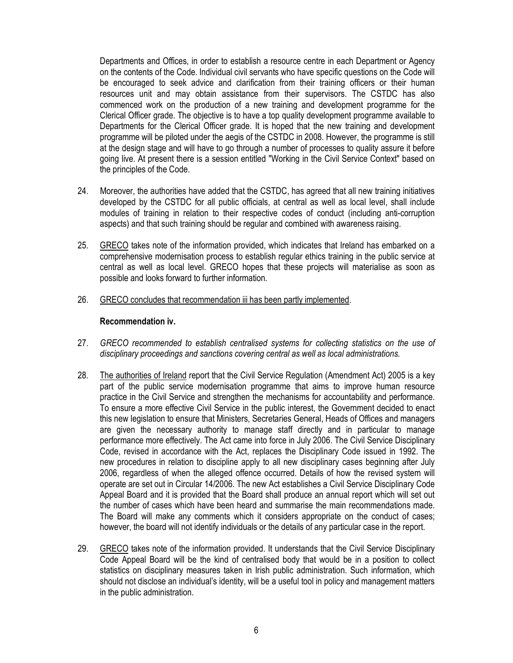Departments and Offices, in order to establish a resource centre in each Department or Agency on the contents of the Code. Individual civil servants who have specific questions on the Code will be encouraged to seek advice and clarification from their training officers or their human resources unit and may obtain assistance from their supervisors. The CSTDC has also commenced work on the production of a new training and development programme for the Clerical Officer grade. The objective is to have a top quality development programme available to Departments for the Clerical Officer grade. It is hoped that the new training and development programme will be piloted under the aegis of the CSTDC in 2008. However, the programme is still at the design stage and will have to go through a number of processes to quality assure it before going live. At present there is a session entitled "Working in the Civil Service Context" based on the principles of the Code.

- 24. Moreover, the authorities have added that the CSTDC, has agreed that all new training initiatives developed by the CSTDC for all public officials, at central as well as local level, shall include modules of training in relation to their respective codes of conduct (including anti-corruption aspects) and that such training should be regular and combined with awareness raising.
- 25. GRECO takes note of the information provided, which indicates that Ireland has embarked on a comprehensive modernisation process to establish regular ethics training in the public service at central as well as local level. GRECO hopes that these projects will materialise as soon as possible and looks forward to further information.
- 26. GRECO concludes that recommendation iii has been partly implemented.

#### Recommendation iv.

- 27. GRECO recommended to establish centralised systems for collecting statistics on the use of disciplinary proceedings and sanctions covering central as well as local administrations.
- 28. The authorities of Ireland report that the Civil Service Regulation (Amendment Act) 2005 is a key part of the public service modernisation programme that aims to improve human resource practice in the Civil Service and strengthen the mechanisms for accountability and performance. To ensure a more effective Civil Service in the public interest, the Government decided to enact this new legislation to ensure that Ministers, Secretaries General, Heads of Offices and managers are given the necessary authority to manage staff directly and in particular to manage performance more effectively. The Act came into force in July 2006. The Civil Service Disciplinary Code, revised in accordance with the Act, replaces the Disciplinary Code issued in 1992. The new procedures in relation to discipline apply to all new disciplinary cases beginning after July 2006, regardless of when the alleged offence occurred. Details of how the revised system will operate are set out in Circular 14/2006. The new Act establishes a Civil Service Disciplinary Code Appeal Board and it is provided that the Board shall produce an annual report which will set out the number of cases which have been heard and summarise the main recommendations made. The Board will make any comments which it considers appropriate on the conduct of cases; however, the board will not identify individuals or the details of any particular case in the report.
- 29. GRECO takes note of the information provided. It understands that the Civil Service Disciplinary Code Appeal Board will be the kind of centralised body that would be in a position to collect statistics on disciplinary measures taken in Irish public administration. Such information, which should not disclose an individual's identity, will be a useful tool in policy and management matters in the public administration.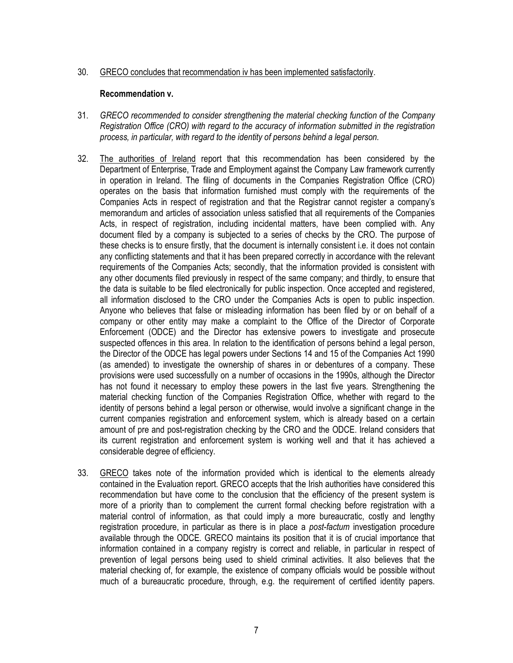#### 30. GRECO concludes that recommendation iv has been implemented satisfactorily.

#### Recommendation v.

- 31. GRECO recommended to consider strengthening the material checking function of the Company Registration Office (CRO) with regard to the accuracy of information submitted in the registration process, in particular, with regard to the identity of persons behind a legal person.
- 32. The authorities of Ireland report that this recommendation has been considered by the Department of Enterprise, Trade and Employment against the Company Law framework currently in operation in Ireland. The filing of documents in the Companies Registration Office (CRO) operates on the basis that information furnished must comply with the requirements of the Companies Acts in respect of registration and that the Registrar cannot register a company's memorandum and articles of association unless satisfied that all requirements of the Companies Acts, in respect of registration, including incidental matters, have been complied with. Any document filed by a company is subjected to a series of checks by the CRO. The purpose of these checks is to ensure firstly, that the document is internally consistent i.e. it does not contain any conflicting statements and that it has been prepared correctly in accordance with the relevant requirements of the Companies Acts; secondly, that the information provided is consistent with any other documents filed previously in respect of the same company; and thirdly, to ensure that the data is suitable to be filed electronically for public inspection. Once accepted and registered, all information disclosed to the CRO under the Companies Acts is open to public inspection. Anyone who believes that false or misleading information has been filed by or on behalf of a company or other entity may make a complaint to the Office of the Director of Corporate Enforcement (ODCE) and the Director has extensive powers to investigate and prosecute suspected offences in this area. In relation to the identification of persons behind a legal person, the Director of the ODCE has legal powers under Sections 14 and 15 of the Companies Act 1990 (as amended) to investigate the ownership of shares in or debentures of a company. These provisions were used successfully on a number of occasions in the 1990s, although the Director has not found it necessary to employ these powers in the last five years. Strengthening the material checking function of the Companies Registration Office, whether with regard to the identity of persons behind a legal person or otherwise, would involve a significant change in the current companies registration and enforcement system, which is already based on a certain amount of pre and post-registration checking by the CRO and the ODCE. Ireland considers that its current registration and enforcement system is working well and that it has achieved a considerable degree of efficiency.
- 33. GRECO takes note of the information provided which is identical to the elements already contained in the Evaluation report. GRECO accepts that the Irish authorities have considered this recommendation but have come to the conclusion that the efficiency of the present system is more of a priority than to complement the current formal checking before registration with a material control of information, as that could imply a more bureaucratic, costly and lengthy registration procedure, in particular as there is in place a post-factum investigation procedure available through the ODCE. GRECO maintains its position that it is of crucial importance that information contained in a company registry is correct and reliable, in particular in respect of prevention of legal persons being used to shield criminal activities. It also believes that the material checking of, for example, the existence of company officials would be possible without much of a bureaucratic procedure, through, e.g. the requirement of certified identity papers.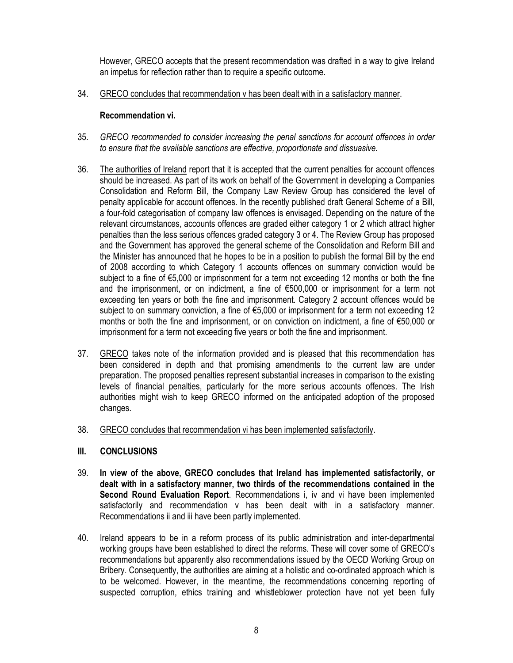However, GRECO accepts that the present recommendation was drafted in a way to give Ireland an impetus for reflection rather than to require a specific outcome.

34. GRECO concludes that recommendation v has been dealt with in a satisfactory manner.

## Recommendation vi.

- 35. GRECO recommended to consider increasing the penal sanctions for account offences in order to ensure that the available sanctions are effective, proportionate and dissuasive.
- 36. The authorities of Ireland report that it is accepted that the current penalties for account offences should be increased. As part of its work on behalf of the Government in developing a Companies Consolidation and Reform Bill, the Company Law Review Group has considered the level of penalty applicable for account offences. In the recently published draft General Scheme of a Bill, a four-fold categorisation of company law offences is envisaged. Depending on the nature of the relevant circumstances, accounts offences are graded either category 1 or 2 which attract higher penalties than the less serious offences graded category 3 or 4. The Review Group has proposed and the Government has approved the general scheme of the Consolidation and Reform Bill and the Minister has announced that he hopes to be in a position to publish the formal Bill by the end of 2008 according to which Category 1 accounts offences on summary conviction would be subject to a fine of €5,000 or imprisonment for a term not exceeding 12 months or both the fine and the imprisonment, or on indictment, a fine of €500,000 or imprisonment for a term not exceeding ten years or both the fine and imprisonment. Category 2 account offences would be subject to on summary conviction, a fine of €5,000 or imprisonment for a term not exceeding 12 months or both the fine and imprisonment, or on conviction on indictment, a fine of €50,000 or imprisonment for a term not exceeding five years or both the fine and imprisonment.
- 37. GRECO takes note of the information provided and is pleased that this recommendation has been considered in depth and that promising amendments to the current law are under preparation. The proposed penalties represent substantial increases in comparison to the existing levels of financial penalties, particularly for the more serious accounts offences. The Irish authorities might wish to keep GRECO informed on the anticipated adoption of the proposed changes.
- 38. GRECO concludes that recommendation vi has been implemented satisfactorily.

## III. CONCLUSIONS

- 39. In view of the above, GRECO concludes that Ireland has implemented satisfactorily, or dealt with in a satisfactory manner, two thirds of the recommendations contained in the Second Round Evaluation Report. Recommendations i, iv and vi have been implemented satisfactorily and recommendation v has been dealt with in a satisfactory manner. Recommendations ii and iii have been partly implemented.
- 40. Ireland appears to be in a reform process of its public administration and inter-departmental working groups have been established to direct the reforms. These will cover some of GRECO's recommendations but apparently also recommendations issued by the OECD Working Group on Bribery. Consequently, the authorities are aiming at a holistic and co-ordinated approach which is to be welcomed. However, in the meantime, the recommendations concerning reporting of suspected corruption, ethics training and whistleblower protection have not yet been fully